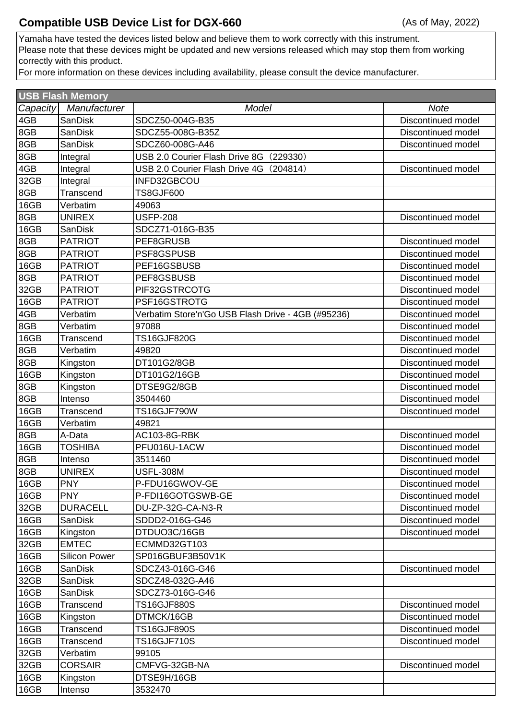Yamaha have tested the devices listed below and believe them to work correctly with this instrument. Please note that these devices might be updated and new versions released which may stop them from working correctly with this product.

For more information on these devices including availability, please consult the device manufacturer.

| <b>USB Flash Memory</b> |                      |                                                    |                    |  |  |  |
|-------------------------|----------------------|----------------------------------------------------|--------------------|--|--|--|
| Capacity                | Manufacturer         | Model                                              | <b>Note</b>        |  |  |  |
| 4GB                     | <b>SanDisk</b>       | SDCZ50-004G-B35                                    | Discontinued model |  |  |  |
| 8GB                     | <b>SanDisk</b>       | SDCZ55-008G-B35Z                                   | Discontinued model |  |  |  |
| 8GB                     | <b>SanDisk</b>       | SDCZ60-008G-A46                                    | Discontinued model |  |  |  |
| 8GB                     | Integral             | USB 2.0 Courier Flash Drive 8G<br>(229330)         |                    |  |  |  |
| 4GB                     | Integral             | USB 2.0 Courier Flash Drive 4G (204814)            | Discontinued model |  |  |  |
| 32GB                    | Integral             | INFD32GBCOU                                        |                    |  |  |  |
| 8GB                     | Transcend            | <b>TS8GJF600</b>                                   |                    |  |  |  |
| 16GB                    | Verbatim             | 49063                                              |                    |  |  |  |
| 8GB                     | <b>UNIREX</b>        | <b>USFP-208</b>                                    | Discontinued model |  |  |  |
| 16GB                    | <b>SanDisk</b>       | SDCZ71-016G-B35                                    |                    |  |  |  |
| 8GB                     | <b>PATRIOT</b>       | PEF8GRUSB                                          | Discontinued model |  |  |  |
| 8GB                     | <b>PATRIOT</b>       | PSF8GSPUSB                                         | Discontinued model |  |  |  |
| 16GB                    | <b>PATRIOT</b>       | PEF16GSBUSB                                        | Discontinued model |  |  |  |
| 8GB                     | <b>PATRIOT</b>       | PEF8GSBUSB                                         | Discontinued model |  |  |  |
| 32GB                    | <b>PATRIOT</b>       | PIF32GSTRCOTG                                      | Discontinued model |  |  |  |
| 16GB                    | <b>PATRIOT</b>       | PSF16GSTROTG                                       | Discontinued model |  |  |  |
| 4GB                     | Verbatim             | Verbatim Store'n'Go USB Flash Drive - 4GB (#95236) | Discontinued model |  |  |  |
| 8GB                     | Verbatim             | 97088                                              | Discontinued model |  |  |  |
| 16GB                    | Transcend            | <b>TS16GJF820G</b>                                 | Discontinued model |  |  |  |
| 8GB                     | Verbatim             | 49820                                              | Discontinued model |  |  |  |
| 8GB                     | Kingston             | DT101G2/8GB                                        | Discontinued model |  |  |  |
| 16GB                    | Kingston             | DT101G2/16GB                                       | Discontinued model |  |  |  |
| 8GB                     | Kingston             | DTSE9G2/8GB                                        | Discontinued model |  |  |  |
| 8GB                     | Intenso              | 3504460                                            | Discontinued model |  |  |  |
| 16GB                    | Transcend            | <b>TS16GJF790W</b>                                 | Discontinued model |  |  |  |
| 16GB                    | Verbatim             | 49821                                              |                    |  |  |  |
| 8GB                     | A-Data               | <b>AC103-8G-RBK</b>                                | Discontinued model |  |  |  |
| 16GB                    | TOSHIBA              | PFU016U-1ACW                                       | Discontinued model |  |  |  |
| 8GB                     | Intenso              | 3511460                                            | Discontinued model |  |  |  |
| 8GB                     | <b>UNIREX</b>        | <b>USFL-308M</b>                                   | Discontinued model |  |  |  |
| 16GB                    | <b>PNY</b>           | P-FDU16GWOV-GE                                     | Discontinued model |  |  |  |
| 16GB                    | <b>PNY</b>           | P-FDI16GOTGSWB-GE                                  | Discontinued model |  |  |  |
| 32GB                    | <b>DURACELL</b>      | DU-ZP-32G-CA-N3-R                                  | Discontinued model |  |  |  |
| 16GB                    | <b>SanDisk</b>       | SDDD2-016G-G46                                     | Discontinued model |  |  |  |
| 16GB                    | Kingston             | DTDUO3C/16GB                                       | Discontinued model |  |  |  |
| 32GB                    | <b>EMTEC</b>         | ECMMD32GT103                                       |                    |  |  |  |
| 16GB                    | <b>Silicon Power</b> | SP016GBUF3B50V1K                                   |                    |  |  |  |
| 16GB                    | SanDisk              | SDCZ43-016G-G46                                    | Discontinued model |  |  |  |
| 32GB                    | <b>SanDisk</b>       | SDCZ48-032G-A46                                    |                    |  |  |  |
| 16GB                    | <b>SanDisk</b>       | SDCZ73-016G-G46                                    |                    |  |  |  |
| 16GB                    | Transcend            | <b>TS16GJF880S</b>                                 | Discontinued model |  |  |  |
| 16GB                    | Kingston             | DTMCK/16GB                                         | Discontinued model |  |  |  |
| 16GB                    | Transcend            | <b>TS16GJF890S</b>                                 | Discontinued model |  |  |  |
| 16GB                    | Transcend            | <b>TS16GJF710S</b>                                 | Discontinued model |  |  |  |
| 32GB                    | Verbatim             | 99105                                              |                    |  |  |  |
| 32GB                    | <b>CORSAIR</b>       | CMFVG-32GB-NA                                      | Discontinued model |  |  |  |
| 16GB                    | Kingston             | DTSE9H/16GB                                        |                    |  |  |  |
| 16GB                    | Intenso              | 3532470                                            |                    |  |  |  |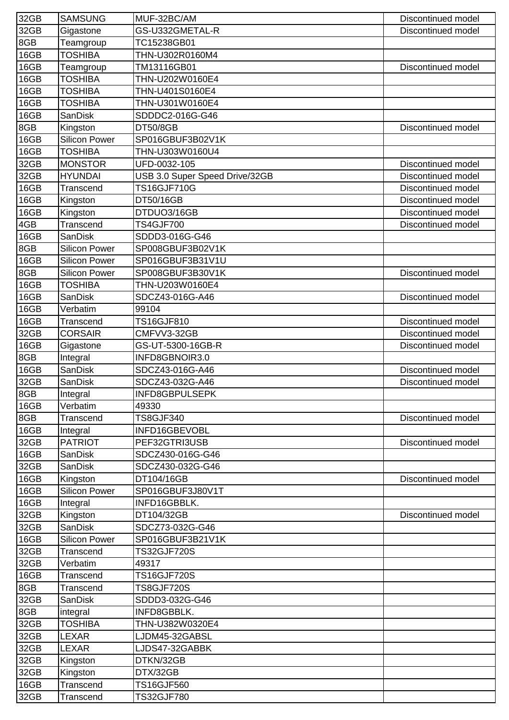| 32GB | <b>SAMSUNG</b>       | MUF-32BC/AM                    | Discontinued model |
|------|----------------------|--------------------------------|--------------------|
| 32GB | Gigastone            | GS-U332GMETAL-R                | Discontinued model |
| 8GB  | Teamgroup            | TC15238GB01                    |                    |
| 16GB | <b>TOSHIBA</b>       | THN-U302R0160M4                |                    |
| 16GB | Teamgroup            | TM13116GB01                    | Discontinued model |
| 16GB | <b>TOSHIBA</b>       | THN-U202W0160E4                |                    |
| 16GB | <b>TOSHIBA</b>       | THN-U401S0160E4                |                    |
| 16GB | <b>TOSHIBA</b>       | THN-U301W0160E4                |                    |
| 16GB | SanDisk              | SDDDC2-016G-G46                |                    |
| 8GB  | Kingston             | <b>DT50/8GB</b>                | Discontinued model |
| 16GB | <b>Silicon Power</b> | SP016GBUF3B02V1K               |                    |
| 16GB | <b>TOSHIBA</b>       | THN-U303W0160U4                |                    |
| 32GB | <b>MONSTOR</b>       | UFD-0032-105                   | Discontinued model |
| 32GB | <b>HYUNDAI</b>       | USB 3.0 Super Speed Drive/32GB | Discontinued model |
| 16GB | Transcend            | <b>TS16GJF710G</b>             | Discontinued model |
| 16GB | Kingston             | DT50/16GB                      | Discontinued model |
| 16GB | Kingston             | DTDUO3/16GB                    | Discontinued model |
| 4GB  | Transcend            | <b>TS4GJF700</b>               | Discontinued model |
| 16GB | <b>SanDisk</b>       | SDDD3-016G-G46                 |                    |
| 8GB  | <b>Silicon Power</b> | SP008GBUF3B02V1K               |                    |
| 16GB | <b>Silicon Power</b> | SP016GBUF3B31V1U               |                    |
| 8GB  | Silicon Power        | SP008GBUF3B30V1K               | Discontinued model |
| 16GB | <b>TOSHIBA</b>       | THN-U203W0160E4                |                    |
| 16GB | <b>SanDisk</b>       | SDCZ43-016G-A46                | Discontinued model |
| 16GB | Verbatim             | 99104                          |                    |
| 16GB | Transcend            | TS16GJF810                     | Discontinued model |
| 32GB | <b>CORSAIR</b>       | CMFVV3-32GB                    | Discontinued model |
| 16GB | Gigastone            | GS-UT-5300-16GB-R              | Discontinued model |
| 8GB  | Integral             | INFD8GBNOIR3.0                 |                    |
| 16GB | SanDisk              | SDCZ43-016G-A46                | Discontinued model |
| 32GB | <b>SanDisk</b>       | SDCZ43-032G-A46                | Discontinued model |
| 8GB  | Integral             | INFD8GBPULSEPK                 |                    |
| 16GB | Verbatim             | 49330                          |                    |
| 8GB  | Transcend            | <b>TS8GJF340</b>               | Discontinued model |
| 16GB | Integral             | INFD16GBEVOBL                  |                    |
| 32GB | <b>PATRIOT</b>       | PEF32GTRI3USB                  | Discontinued model |
| 16GB | SanDisk              | SDCZ430-016G-G46               |                    |
| 32GB | <b>SanDisk</b>       | SDCZ430-032G-G46               |                    |
| 16GB | Kingston             | DT104/16GB                     | Discontinued model |
| 16GB | <b>Silicon Power</b> | SP016GBUF3J80V1T               |                    |
| 16GB | Integral             | INFD16GBBLK.                   |                    |
| 32GB | Kingston             | DT104/32GB                     | Discontinued model |
| 32GB | <b>SanDisk</b>       | SDCZ73-032G-G46                |                    |
| 16GB | <b>Silicon Power</b> | SP016GBUF3B21V1K               |                    |
| 32GB | Transcend            | <b>TS32GJF720S</b>             |                    |
| 32GB | Verbatim             | 49317                          |                    |
| 16GB | Transcend            | <b>TS16GJF720S</b>             |                    |
| 8GB  | Transcend            | <b>TS8GJF720S</b>              |                    |
| 32GB | <b>SanDisk</b>       | SDDD3-032G-G46                 |                    |
| 8GB  | integral             | INFD8GBBLK.                    |                    |
| 32GB | <b>TOSHIBA</b>       | THN-U382W0320E4                |                    |
| 32GB | LEXAR                | LJDM45-32GABSL                 |                    |
| 32GB | <b>LEXAR</b>         | LJDS47-32GABBK                 |                    |
| 32GB | Kingston             | DTKN/32GB                      |                    |
| 32GB | Kingston             | DTX/32GB                       |                    |
| 16GB | Transcend            | TS16GJF560                     |                    |
| 32GB | Transcend            | TS32GJF780                     |                    |
|      |                      |                                |                    |